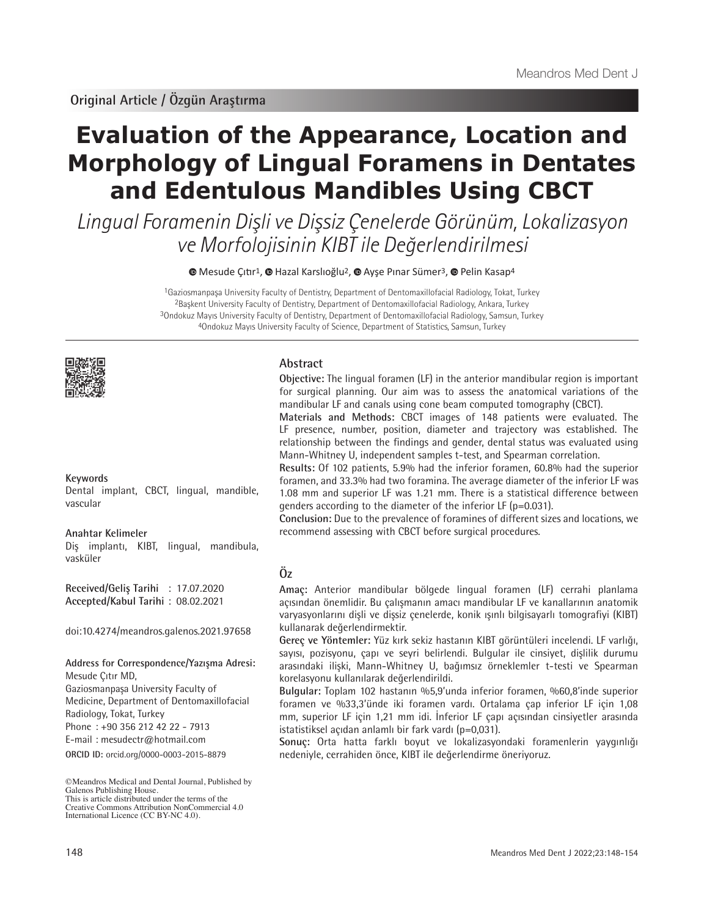# **Evaluation of the Appearance, Location and Morphology of Lingual Foramens in Dentates and Edentulous Mandibles Using CBCT**

Lingual Foramenin Dişli ve Dişsiz Çenelerde Görünüm, Lokalizasyon ve Morfolojisinin KIBT ile Değerlendirilmesi

<sup>■</sup>Mesude Çıtır<sup>1</sup>, <sup>■</sup> Hazal Karslıoğlu<sup>2</sup>, ■ Ayşe [P](https://orcid.org/0000-0002-1106-710X)ınar Sümer<sup>3</sup>, ■ Pelin Kasap<sup>4</sup>

Gaziosmanpaşa University Faculty of Dentistry, Department of Dentomaxillofacial Radiology, Tokat, Turkey Başkent University Faculty of Dentistry, Department of Dentomaxillofacial Radiology, Ankara, Turkey Ondokuz Mayıs University Faculty of Dentistry, Department of Dentomaxillofacial Radiology, Samsun, Turkey Ondokuz Mayıs University Faculty of Science, Department of Statistics, Samsun, Turkey



# **Keywords**

Dental implant, CBCT, lingual, mandible, vascular

#### **Anahtar Kelimeler**

Diş implantı, KIBT, lingual, mandibula, vasküler

**Received/Geliş Tarihi** : 17.07.2020 **Accepted/Kabul Tarihi** : 08.02.2021

doi:10.4274/meandros.galenos.2021.97658

#### **Address for Correspondence/Yazışma Adresi:**

Mesude Çıtır MD,

Gaziosmanpaşa University Faculty of Medicine, Department of Dentomaxillofacial

Radiology, Tokat, Turkey

Phone : +90 356 212 42 22 - 7913

E-mail : mesudectr@hotmail.com

Creative Commons Attribution NonCommercial 4.0 International Licence (CC BY-NC 4.0).

# **Abstract**

**Objective:** The lingual foramen (LF) in the anterior mandibular region is important for surgical planning. Our aim was to assess the anatomical variations of the mandibular LF and canals using cone beam computed tomography (CBCT).

**Materials and Methods:** CBCT images of 148 patients were evaluated. The LF presence, number, position, diameter and trajectory was established. The relationship between the findings and gender, dental status was evaluated using Mann-Whitney U, independent samples t-test, and Spearman correlation.

**Results:** Of 102 patients, 5.9% had the inferior foramen, 60.8% had the superior foramen, and 33.3% had two foramina. The average diameter of the inferior LF was 1.08 mm and superior LF was 1.21 mm. There is a statistical difference between genders according to the diameter of the inferior LF (p=0.031).

**Conclusion:** Due to the prevalence of foramines of different sizes and locations, we recommend assessing with CBCT before surgical procedures.

# **Öz**

**Amaç:** Anterior mandibular bölgede lingual foramen (LF) cerrahi planlama açısından önemlidir. Bu çalışmanın amacı mandibular LF ve kanallarının anatomik varyasyonlarını dişli ve dişsiz çenelerde, konik ışınlı bilgisayarlı tomografiyi (KIBT) kullanarak değerlendirmektir.

**Gereç ve Yöntemler:** Yüz kırk sekiz hastanın KIBT görüntüleri incelendi. LF varlığı, sayısı, pozisyonu, çapı ve seyri belirlendi. Bulgular ile cinsiyet, dişlilik durumu arasındaki ilişki, Mann-Whitney U, bağımsız örneklemler t-testi ve Spearman korelasyonu kullanılarak değerlendirildi.

**Bulgular:** Toplam 102 hastanın %5,9'unda inferior foramen, %60,8'inde superior foramen ve %33,3'ünde iki foramen vardı. Ortalama çap inferior LF için 1,08 mm, superior LF için 1,21 mm idi. İnferior LF çapı açısından cinsiyetler arasında istatistiksel açıdan anlamlı bir fark vardı (p=0,031).

**Sonuç:** Orta hatta farklı boyut ve lokalizasyondaki foramenlerin yaygınlığı **ORCID ID:** orcid.org/0000-0003-2015-8879 nedeniyle, cerrahiden önce, KIBT ile değerlendirme öneriyoruz.

<sup>©</sup>Meandros Medical and Dental Journal, Published by Galenos Publishing House. This is article distributed under the terms of the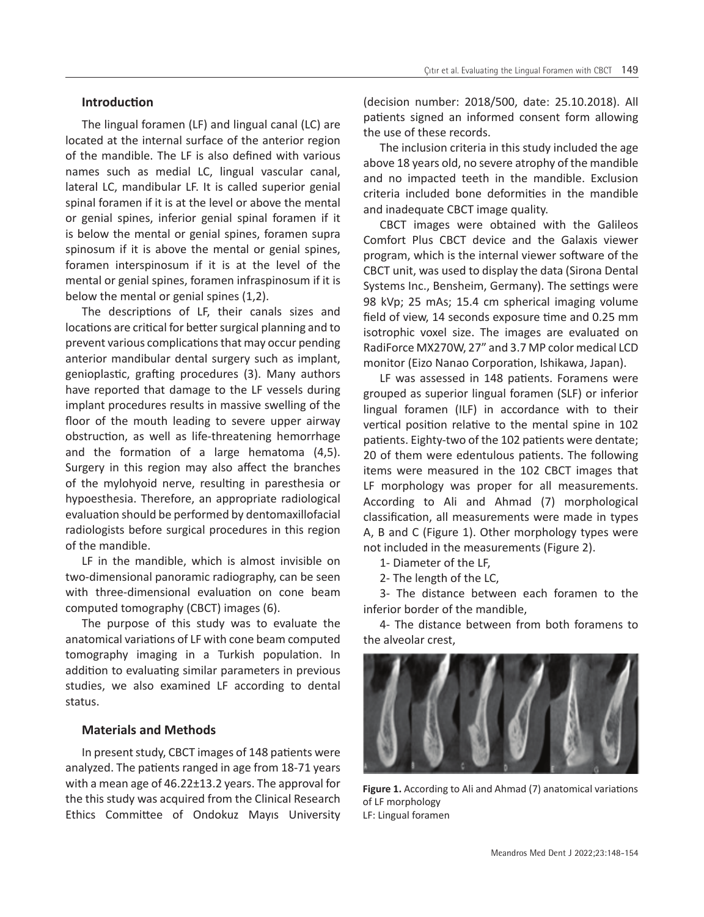## **Introduction**

The lingual foramen (LF) and lingual canal (LC) are located at the internal surface of the anterior region of the mandible. The LF is also defined with various names such as medial LC, lingual vascular canal, lateral LC, mandibular LF. It is called superior genial spinal foramen if it is at the level or above the mental or genial spines, inferior genial spinal foramen if it is below the mental or genial spines, foramen supra spinosum if it is above the mental or genial spines, foramen interspinosum if it is at the level of the mental or genial spines, foramen infraspinosum if it is below the mental or genial spines (1,2).

The descriptions of LF, their canals sizes and locations are critical for better surgical planning and to prevent various complications that may occur pending anterior mandibular dental surgery such as implant, genioplastic, grafting procedures (3). Many authors have reported that damage to the LF vessels during implant procedures results in massive swelling of the floor of the mouth leading to severe upper airway obstruction, as well as life-threatening hemorrhage and the formation of a large hematoma (4,5). Surgery in this region may also affect the branches of the mylohyoid nerve, resulting in paresthesia or hypoesthesia. Therefore, an appropriate radiological evaluation should be performed by dentomaxillofacial radiologists before surgical procedures in this region of the mandible.

LF in the mandible, which is almost invisible on two-dimensional panoramic radiography, can be seen with three-dimensional evaluation on cone beam computed tomography (CBCT) images (6).

The purpose of this study was to evaluate the anatomical variations of LF with cone beam computed tomography imaging in a Turkish population. In addition to evaluating similar parameters in previous studies, we also examined LF according to dental status.

## **Materials and Methods**

In present study, CBCT images of 148 patients were analyzed. The patients ranged in age from 18-71 years with a mean age of 46.22±13.2 years. The approval for the this study was acquired from the Clinical Research Ethics Committee of Ondokuz Mayıs University

(decision number: 2018/500, date: 25.10.2018). All patients signed an informed consent form allowing the use of these records.

The inclusion criteria in this study included the age above 18 years old, no severe atrophy of the mandible and no impacted teeth in the mandible. Exclusion criteria included bone deformities in the mandible and inadequate CBCT image quality.

CBCT images were obtained with the Galileos Comfort Plus CBCT device and the Galaxis viewer program, which is the internal viewer software of the CBCT unit, was used to display the data (Sirona Dental Systems Inc., Bensheim, Germany). The settings were 98 kVp; 25 mAs; 15.4 cm spherical imaging volume field of view, 14 seconds exposure time and 0.25 mm isotrophic voxel size. The images are evaluated on RadiForce MX270W, 27" and 3.7 MP color medical LCD monitor (Eizo Nanao Corporation, Ishikawa, Japan).

LF was assessed in 148 patients. Foramens were grouped as superior lingual foramen (SLF) or inferior lingual foramen (ILF) in accordance with to their vertical position relative to the mental spine in 102 patients. Eighty-two of the 102 patients were dentate; 20 of them were edentulous patients. The following items were measured in the 102 CBCT images that LF morphology was proper for all measurements. According to Ali and Ahmad (7) morphological classification, all measurements were made in types A, B and C (Figure 1). Other morphology types were not included in the measurements (Figure 2).

1- Diameter of the LF,

2- The length of the LC,

3- The distance between each foramen to the inferior border of the mandible,

4- The distance between from both foramens to the alveolar crest,



**Figure 1.** According to Ali and Ahmad (7) anatomical variations of LF morphology LF: Lingual foramen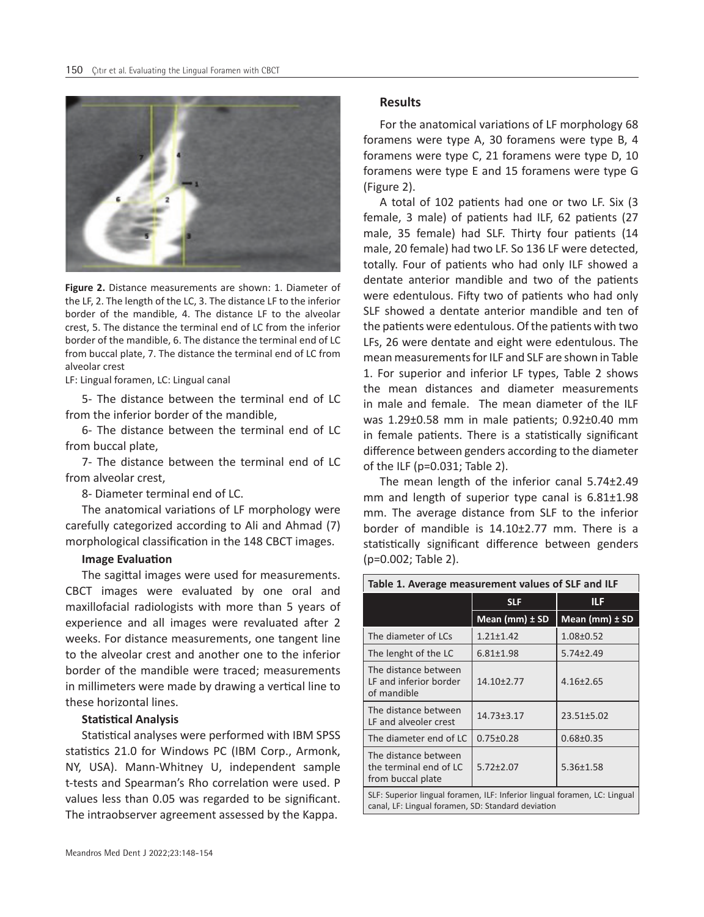

**Figure 2.** Distance measurements are shown: 1. Diameter of the LF, 2. The length of the LC, 3. The distance LF to the inferior border of the mandible, 4. The distance LF to the alveolar crest, 5. The distance the terminal end of LC from the inferior border of the mandible, 6. The distance the terminal end of LC from buccal plate, 7. The distance the terminal end of LC from alveolar crest

LF: Lingual foramen, LC: Lingual canal

5- The distance between the terminal end of LC from the inferior border of the mandible,

6- The distance between the terminal end of LC from buccal plate,

7- The distance between the terminal end of LC from alveolar crest,

8- Diameter terminal end of LC.

The anatomical variations of LF morphology were carefully categorized according to Ali and Ahmad (7) morphological classification in the 148 CBCT images.

#### **Image Evaluation**

The sagittal images were used for measurements. CBCT images were evaluated by one oral and maxillofacial radiologists with more than 5 years of experience and all images were revaluated after 2 weeks. For distance measurements, one tangent line to the alveolar crest and another one to the inferior border of the mandible were traced; measurements in millimeters were made by drawing a vertical line to these horizontal lines.

#### **Statistical Analysis**

Statistical analyses were performed with IBM SPSS statistics 21.0 for Windows PC (IBM Corp., Armonk, NY, USA). Mann-Whitney U, independent sample t-tests and Spearman's Rho correlation were used. P values less than 0.05 was regarded to be significant. The intraobserver agreement assessed by the Kappa.

#### **Results**

For the anatomical variations of LF morphology 68 foramens were type A, 30 foramens were type B, 4 foramens were type C, 21 foramens were type D, 10 foramens were type E and 15 foramens were type G (Figure 2).

A total of 102 patients had one or two LF. Six (3 female, 3 male) of patients had ILF, 62 patients (27 male, 35 female) had SLF. Thirty four patients (14 male, 20 female) had two LF. So 136 LF were detected, totally. Four of patients who had only ILF showed a dentate anterior mandible and two of the patients were edentulous. Fifty two of patients who had only SLF showed a dentate anterior mandible and ten of the patients were edentulous. Of the patients with two LFs, 26 were dentate and eight were edentulous. The mean measurements for ILF and SLF are shown in Table 1. For superior and inferior LF types, Table 2 shows the mean distances and diameter measurements in male and female. The mean diameter of the ILF was 1.29±0.58 mm in male patients; 0.92±0.40 mm in female patients. There is a statistically significant difference between genders according to the diameter of the ILF (p=0.031; Table 2).

The mean length of the inferior canal 5.74±2.49 mm and length of superior type canal is 6.81±1.98 mm. The average distance from SLF to the inferior border of mandible is 14.10±2.77 mm. There is a statistically significant difference between genders (p=0.002; Table 2).

| Table 1. Average measurement values of SLF and ILF                                                                              |                    |                      |
|---------------------------------------------------------------------------------------------------------------------------------|--------------------|----------------------|
|                                                                                                                                 | <b>SLF</b>         | ILF                  |
|                                                                                                                                 | Mean (mm) $\pm$ SD | Mean $(mm)$ $\pm$ SD |
| The diameter of LCs                                                                                                             | $1.21 \pm 1.42$    | $1.08 \pm 0.52$      |
| The lenght of the LC                                                                                                            | $6.81 \pm 1.98$    | $5.74 \pm 2.49$      |
| The distance between<br>LF and inferior border<br>of mandible                                                                   | 14.10±2.77         | $4.16 \pm 2.65$      |
| The distance between<br>LF and alveoler crest                                                                                   | 14.73±3.17         | $23.51 \pm 5.02$     |
| The diameter end of LC                                                                                                          | $0.75 \pm 0.28$    | $0.68 \pm 0.35$      |
| The distance between<br>the terminal end of LC<br>from buccal plate                                                             | $5.72 \pm 2.07$    | $5.36 \pm 1.58$      |
| SLF: Superior lingual foramen, ILF: Inferior lingual foramen, LC: Lingual<br>canal, LF: Lingual foramen, SD: Standard deviation |                    |                      |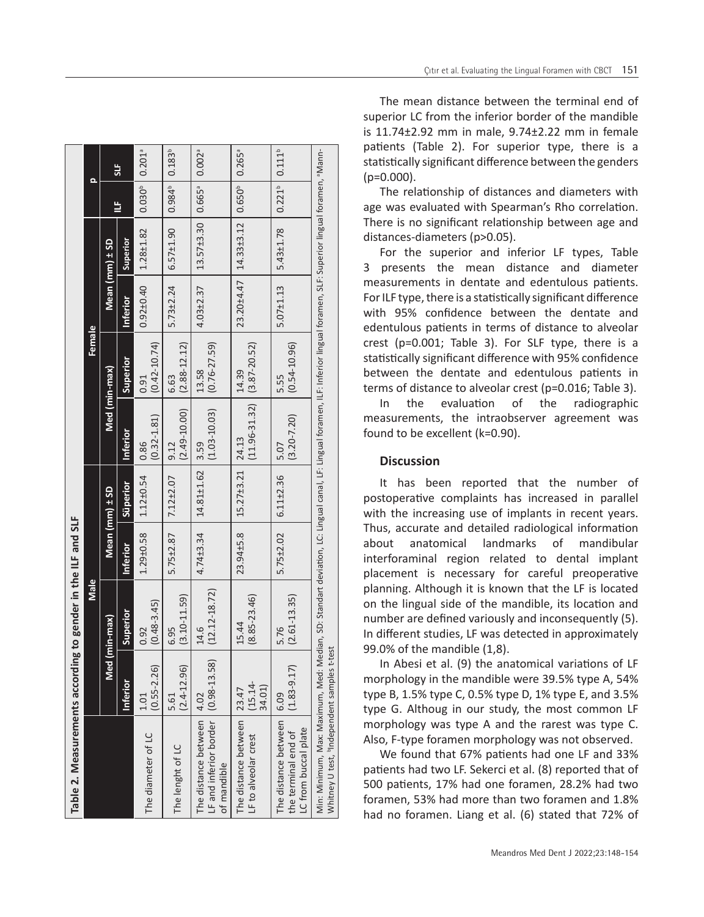| Table 2. Measurements according to gender in the ILF and SLF                                                                                                                                                                 |                               |                           |                 |                    |                                             |                           |                 |                    |                    |                      |
|------------------------------------------------------------------------------------------------------------------------------------------------------------------------------------------------------------------------------|-------------------------------|---------------------------|-----------------|--------------------|---------------------------------------------|---------------------------|-----------------|--------------------|--------------------|----------------------|
|                                                                                                                                                                                                                              |                               | Male                      |                 |                    |                                             | Female                    |                 |                    | $\Omega$           |                      |
|                                                                                                                                                                                                                              | <b>Med</b>                    | $(\min - \max)$           |                 | Mean $(mm) \pm SD$ | Med (min-max)                               |                           |                 | Mean $(mm) \pm SD$ |                    |                      |
|                                                                                                                                                                                                                              | Inferior                      | Superior                  | <b>Inferior</b> | Süperior           | Inferior                                    | Superior                  | <b>Inferior</b> | Superior           | ₿                  | $\frac{1}{5}$        |
| The diameter of LC                                                                                                                                                                                                           | $(0.55 - 2.26)$<br>1.01       | $(0.48 - 3.45)$<br>0.92   | $1.29 \pm 0.58$ | $1.12 \pm 0.54$    | $(0.32 - 1.81)$<br>0.86                     | $(0.42 - 10.74)$<br>0.91  | $0.92 \pm 0.40$ | $1.28 + 1.82$      | $0.030^{b}$        | $0.201$ <sup>a</sup> |
| The lenght of LC                                                                                                                                                                                                             | $(2.4 - 12.96)$<br>5.61       | $(3.10 - 11.59)$<br>6.95  | 5.75±2.87       | $7.12 \pm 2.07$    | $(2.49 - 10.00)$<br>9.12                    | $(2.88 - 12.12)$<br>6.63  | $5.73 \pm 2.24$ | $6.57 \pm 1.90$    | $0.984^{b}$        | $0.183^{b}$          |
| The distance between   4.02<br>LF and inferior border<br>of mandible                                                                                                                                                         | $(0.98 - 13.58)$              | $(12.12 - 18.72)$<br>14.6 | $4.74 \pm 3.34$ | 14.81±1.62   3.59  | $(1.03 - 10.03)$                            | $(0.76 - 27.59)$<br>13.58 | $4.03 \pm 2.37$ | $13.57 \pm 3.30$   | 0.665 <sup>a</sup> | $0.002$ <sup>a</sup> |
| The distance between<br>LF to alveolar crest                                                                                                                                                                                 | $(15.14 -$<br>34.01)<br>23.47 | $(8.85 - 23.46)$<br>15.44 | 23.94±5.8       | 15.27±3.21         | $(11.96 - 31.32)$ $(3.87 - 20.52)$<br>24.13 | 14.39                     | 23.20±4.47      | 14.33±3.12         | $0.650^{b}$        | $0.265$ <sup>a</sup> |
| The distance between<br>.C from buccal plate<br>the terminal end of                                                                                                                                                          | $(1.83 - 9.17)$<br>$-6.09$    | $(2.61 - 13.35)$<br>5.76  | $5.75 \pm 2.02$ | $6.11 \pm 2.36$    | $(3.20 - 7.20)$<br>5.07                     | $(0.54 - 10.96)$<br>5.55  | $5.07 \pm 1.13$ | $5.43 \pm 1.78$    | $0.221^{b}$        | $0.111^{b}$          |
| Min: Minimum, Max: Maximum, Med: Median, SD: Standart deviation, LC: Lingual canal, LF: Lingual foramen, ILF: Inferior lingual foramen, SLF: Superior lingual foramen, "Mann-<br>Whitney U test, "Independent samples t-test |                               |                           |                 |                    |                                             |                           |                 |                    |                    |                      |

The mean distance between the terminal end of superior LC from the inferior border of the mandible is 11.74±2.92 mm in male, 9.74±2.22 mm in female patients (Table 2). For superior type, there is a statistically significant difference between the genders  $(p=0.000)$ .

The relationship of distances and diameters with age was evaluated with Spearman's Rho correlation. There is no significant relationship between age and distances-diameters (p>0.05).

For the superior and inferior LF types, Table 3 presents the mean distance and diameter measurements in dentate and edentulous patients. For ILF type, there is a statistically significant difference with 95% confidence between the dentate and edentulous patients in terms of distance to alveolar crest (p=0.001; Table 3). For SLF type, there is a statistically significant difference with 95% confidence between the dentate and edentulous patients in terms of distance to alveolar crest (p=0.016; Table 3).

In the evaluation of the radiographic measurements, the intraobserver agreement was found to be excellent (k=0.90).

## **Discussion**

It has been reported that the number of postoperative complaints has increased in parallel with the increasing use of implants in recent years. Thus, accurate and detailed radiological information about anatomical landmarks of mandibular interforaminal region related to dental implant placement is necessary for careful preoperative planning. Although it is known that the LF is located on the lingual side of the mandible, its location and number are defined variously and inconsequently (5). In different studies, LF was detected in approximately 99.0% of the mandible (1,8).

In Abesi et al. (9) the anatomical variations of LF morphology in the mandible were 39.5% type A, 54% type B, 1.5% type C, 0.5% type D, 1% type E, and 3.5% type G. Althoug in our study, the most common LF morphology was type A and the rarest was type C. Also, F-type foramen morphology was not observed.

We found that 67% patients had one LF and 33% patients had two LF. Sekerci et al. (8) reported that of 500 patients, 17% had one foramen, 28.2% had two foramen, 53% had more than two foramen and 1.8% had no foramen. Liang et al. (6) stated that 72% of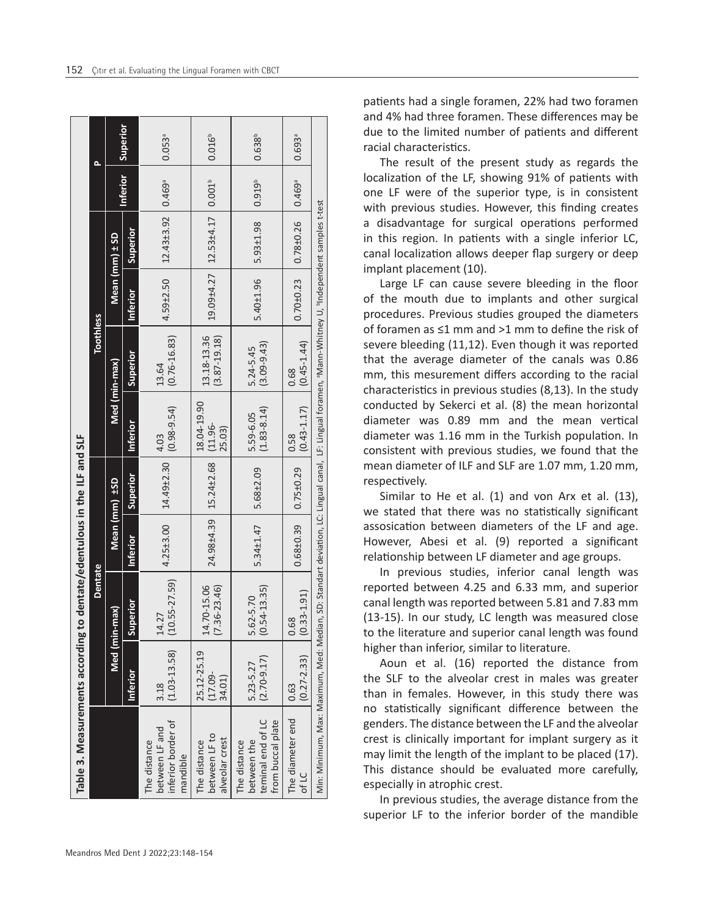| Table 3. Measurements according to dentate/edentulous in the ILF and SLF                                                                              |                                     |                                 |               |                                               |                              |                                 |                 |                                                          |                 |                      |
|-------------------------------------------------------------------------------------------------------------------------------------------------------|-------------------------------------|---------------------------------|---------------|-----------------------------------------------|------------------------------|---------------------------------|-----------------|----------------------------------------------------------|-----------------|----------------------|
|                                                                                                                                                       |                                     | <b>Dentate</b>                  |               |                                               |                              | <b>Toothless</b>                |                 |                                                          |                 | Δ                    |
|                                                                                                                                                       |                                     | Med (min-max)                   |               | Mean (mm) ±SD                                 |                              | Med (min-max)                   | Mean (mm) ± SD  |                                                          |                 |                      |
|                                                                                                                                                       | <b>Inferior</b>                     | Superior                        | Inferior      | Superior                                      | Inferior                     | Superior                        | <b>Inferior</b> | Superior                                                 | <b>Inferior</b> | Superior             |
| inferior border of<br>between LF and<br>The distance<br>mandible                                                                                      | $(1.03 - 13.58)$<br>3.18            | $(10.55 - 27.59)$<br>14.27      | $4.25 + 3.00$ | $14.49 \pm 2.30$                              | $(0.98 - 9.54)$<br>4.03      | $(0.76 - 16.83)$<br>13.64       | $4.59 \pm 2.50$ | $12.43 \pm 3.92$ 0.469 <sup>ª</sup>                      |                 | $0.053$ <sup>a</sup> |
| between LF to<br>alveolar crest<br>The distance                                                                                                       | 25.12-25.19<br>$(17.09 -$<br>34.01) | 14.70-15.06<br>$(7.36 - 23.46)$ |               | $24.98 \pm 4.39$   15.24 $\pm$ 2.68   (11.96- | 18.04-19.90<br>25.03)        | 13.18-13.36<br>$(3.87 - 19.18)$ |                 | $19.09 \pm 4.27$   $12.53 \pm 4.17$   0.001 <sup>b</sup> |                 | $0.016^{b}$          |
| teminal end of LC<br>from buccal plate<br>The distance<br>between the                                                                                 | $(2.70 - 9.17)$<br>5.23-5.27        | $(0.54 - 13.35)$<br>5.62-5.70   | $5.34 + 1.47$ | $5.68 \pm 2.09$                               | $(1.83 - 8.14)$<br>5.59-6.05 | $(3.09 - 9.43)$<br>5.24-5.45    | 5.40±1.96       | $5.93 \pm 1.98$                                          | $0.919^{b}$     | $0.638^{b}$          |
| The diameter end<br>of LC                                                                                                                             | $(0.27 - 2.33)$<br>0.63             | $(0.33 - 1.91)$<br>0.68         | $0.68 + 0.39$ | $0.75 \pm 0.29$                               | $(0.43 - 1.17)$<br>0.58      | $(0.45 - 1.44)$<br>0.68         | $0.70 + 0.23$   | $0.78 \pm 0.26$   0.469 <sup>®</sup>                     |                 | $0.693$ <sup>a</sup> |
| Min: Minimum, Max: Maximum, Med: Median, SD: Standart deviation, LC: Lingual canal, LF: Lingual foramen, "Mann-Whitney U, "Independent samples t-test |                                     |                                 |               |                                               |                              |                                 |                 |                                                          |                 |                      |

patients had a single foramen, 22% had two foramen and 4% had three foramen. These differences may be due to the limited number of patients and different racial characteristics.

The result of the present study as regards the localization of the LF, showing 91% of patients with one LF were of the superior type, is in consistent with previous studies. However, this finding creates a disadvantage for surgical operations performed in this region. In patients with a single inferior LC, canal localization allows deeper flap surgery or deep implant placement (10).

Large LF can cause severe bleeding in the floor of the mouth due to implants and other surgical procedures. Previous studies grouped the diameters of foramen as ≤1 mm and >1 mm to define the risk of severe bleeding (11,12). Even though it was reported that the average diameter of the canals was 0.86 mm, this mesurement differs according to the racial characteristics in previous studies (8,13). In the study conducted by Sekerci et al. (8) the mean horizontal diameter was 0.89 mm and the mean vertical diameter was 1.16 mm in the Turkish population. In consistent with previous studies, we found that the mean diameter of ILF and SLF are 1.07 mm, 1.20 mm, respectively.

Similar to He et al. (1) and von Arx et al. (13), we stated that there was no statistically significant assosication between diameters of the LF and age. However, Abesi et al. (9) reported a significant relationship between LF diameter and age groups.

In previous studies, inferior canal length was reported between 4.25 and 6.33 mm, and superior canal length was reported between 5.81 and 7.83 mm (13-15). In our study, LC length was measured close to the literature and superior canal length was found higher than inferior, similar to literature.

Aoun et al. (16) reported the distance from the SLF to the alveolar crest in males was greater than in females. However, in this study there was no statistically significant difference between the genders. The distance between the LF and the alveolar crest is clinically important for implant surgery as it may limit the length of the implant to be placed (17). This distance should be evaluated more carefully, especially in atrophic crest.

In previous studies, the average distance from the superior LF to the inferior border of the mandible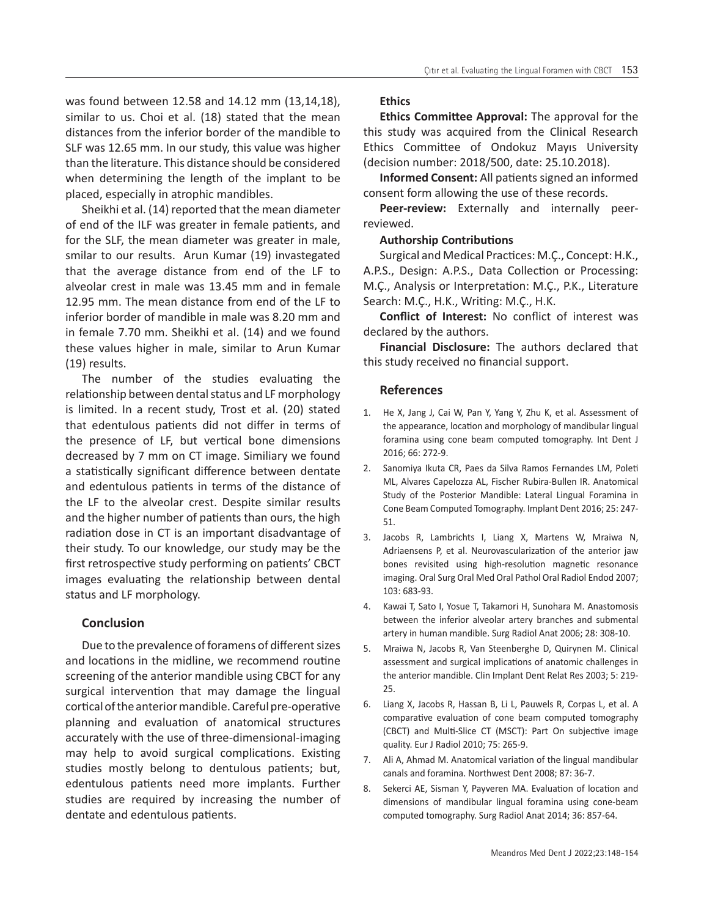was found between 12.58 and 14.12 mm (13,14,18), similar to us. Choi et al. (18) stated that the mean distances from the inferior border of the mandible to SLF was 12.65 mm. In our study, this value was higher than the literature. This distance should be considered when determining the length of the implant to be placed, especially in atrophic mandibles.

Sheikhi et al. (14) reported that the mean diameter of end of the ILF was greater in female patients, and for the SLF, the mean diameter was greater in male, smilar to our results. Arun Kumar (19) invastegated that the average distance from end of the LF to alveolar crest in male was 13.45 mm and in female 12.95 mm. The mean distance from end of the LF to inferior border of mandible in male was 8.20 mm and in female 7.70 mm. Sheikhi et al. (14) and we found these values higher in male, similar to Arun Kumar (19) results.

The number of the studies evaluating the relationship between dental status and LF morphology is limited. In a recent study, Trost et al. (20) stated that edentulous patients did not differ in terms of the presence of LF, but vertical bone dimensions decreased by 7 mm on CT image. Similiary we found a statistically significant difference between dentate and edentulous patients in terms of the distance of the LF to the alveolar crest. Despite similar results and the higher number of patients than ours, the high radiation dose in CT is an important disadvantage of their study. To our knowledge, our study may be the first retrospective study performing on patients' CBCT images evaluating the relationship between dental status and LF morphology.

# **Conclusion**

Due to the prevalence of foramens of different sizes and locations in the midline, we recommend routine screening of the anterior mandible using CBCT for any surgical intervention that may damage the lingual cortical of the anterior mandible. Careful pre-operative planning and evaluation of anatomical structures accurately with the use of three-dimensional-imaging may help to avoid surgical complications. Existing studies mostly belong to dentulous patients; but, edentulous patients need more implants. Further studies are required by increasing the number of dentate and edentulous patients.

#### **Ethics**

**Ethics Committee Approval:** The approval for the this study was acquired from the Clinical Research Ethics Committee of Ondokuz Mayıs University (decision number: 2018/500, date: 25.10.2018).

**Informed Consent:** All patients signed an informed consent form allowing the use of these records.

**Peer-review:** Externally and internally peerreviewed.

#### **Authorship Contributions**

Surgical and Medical Practices: M.Ç., Concept: H.K., A.P.S., Design: A.P.S., Data Collection or Processing: M.Ç., Analysis or Interpretation: M.Ç., P.K., Literature Search: M.Ç., H.K., Writing: M.Ç., H.K.

**Conflict of Interest:** No conflict of interest was declared by the authors.

**Financial Disclosure:** The authors declared that this study received no financial support.

#### **References**

- 1. He X, Jang J, Cai W, Pan Y, Yang Y, Zhu K, et al. Assessment of the appearance, location and morphology of mandibular lingual foramina using cone beam computed tomography. Int Dent J 2016; 66: 272-9.
- 2. Sanomiya Ikuta CR, Paes da Silva Ramos Fernandes LM, Poleti ML, Alvares Capelozza AL, Fischer Rubira-Bullen IR. Anatomical Study of the Posterior Mandible: Lateral Lingual Foramina in Cone Beam Computed Tomography. Implant Dent 2016; 25: 247- 51.
- 3. Jacobs R, Lambrichts I, Liang X, Martens W, Mraiwa N, Adriaensens P, et al. Neurovascularization of the anterior jaw bones revisited using high-resolution magnetic resonance imaging. Oral Surg Oral Med Oral Pathol Oral Radiol Endod 2007; 103: 683-93.
- 4. Kawai T, Sato I, Yosue T, Takamori H, Sunohara M. Anastomosis between the inferior alveolar artery branches and submental artery in human mandible. Surg Radiol Anat 2006; 28: 308-10.
- 5. Mraiwa N, Jacobs R, Van Steenberghe D, Quirynen M. Clinical assessment and surgical implications of anatomic challenges in the anterior mandible. Clin Implant Dent Relat Res 2003; 5: 219- 25.
- 6. Liang X, Jacobs R, Hassan B, Li L, Pauwels R, Corpas L, et al. A comparative evaluation of cone beam computed tomography (CBCT) and Multi-Slice CT (MSCT): Part On subjective image quality. Eur J Radiol 2010; 75: 265-9.
- 7. Ali A, Ahmad M. Anatomical variation of the lingual mandibular canals and foramina. Northwest Dent 2008; 87: 36-7.
- 8. Sekerci AE, Sisman Y, Payveren MA. Evaluation of location and dimensions of mandibular lingual foramina using cone-beam computed tomography. Surg Radiol Anat 2014; 36: 857-64.